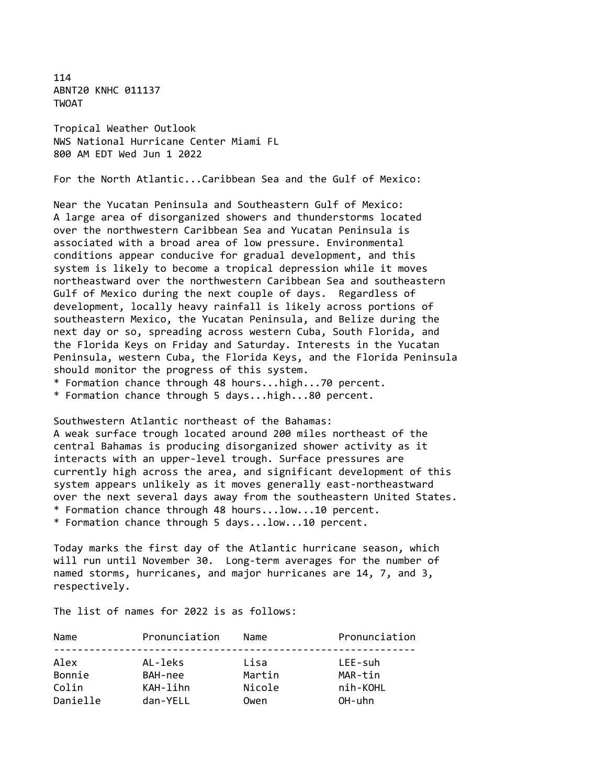114 ABNT20 KNHC 011137 **TWOAT** 

Tropical Weather Outlook NWS National Hurricane Center Miami FL 800 AM EDT Wed Jun 1 2022

For the North Atlantic...Caribbean Sea and the Gulf of Mexico:

Near the Yucatan Peninsula and Southeastern Gulf of Mexico: A large area of disorganized showers and thunderstorms located over the northwestern Caribbean Sea and Yucatan Peninsula is associated with a broad area of low pressure. Environmental conditions appear conducive for gradual development, and this system is likely to become a tropical depression while it moves northeastward over the northwestern Caribbean Sea and southeastern Gulf of Mexico during the next couple of days. Regardless of development, locally heavy rainfall is likely across portions of southeastern Mexico, the Yucatan Peninsula, and Belize during the next day or so, spreading across western Cuba, South Florida, and the Florida Keys on Friday and Saturday. Interests in the Yucatan Peninsula, western Cuba, the Florida Keys, and the Florida Peninsula should monitor the progress of this system.

\* Formation chance through 48 hours...high...70 percent.

\* Formation chance through 5 days...high...80 percent.

Southwestern Atlantic northeast of the Bahamas:

A weak surface trough located around 200 miles northeast of the central Bahamas is producing disorganized shower activity as it interacts with an upper-level trough. Surface pressures are currently high across the area, and significant development of this system appears unlikely as it moves generally east-northeastward over the next several days away from the southeastern United States. \* Formation chance through 48 hours...low...10 percent. \* Formation chance through 5 days...low...10 percent.

Today marks the first day of the Atlantic hurricane season, which will run until November 30. Long-term averages for the number of named storms, hurricanes, and major hurricanes are 14, 7, and 3, respectively.

The list of names for 2022 is as follows:

| Name     | Pronunciation | Name   | Pronunciation |
|----------|---------------|--------|---------------|
| Alex     | AL-leks       | Lisa   | LEE-suh       |
| Bonnie   | BAH-nee       | Martin | MAR-tin       |
| Colin    | KAH-lihn      | Nicole | nih-KOHL      |
| Danielle | dan-YELL      | Owen   | OH-uhn        |